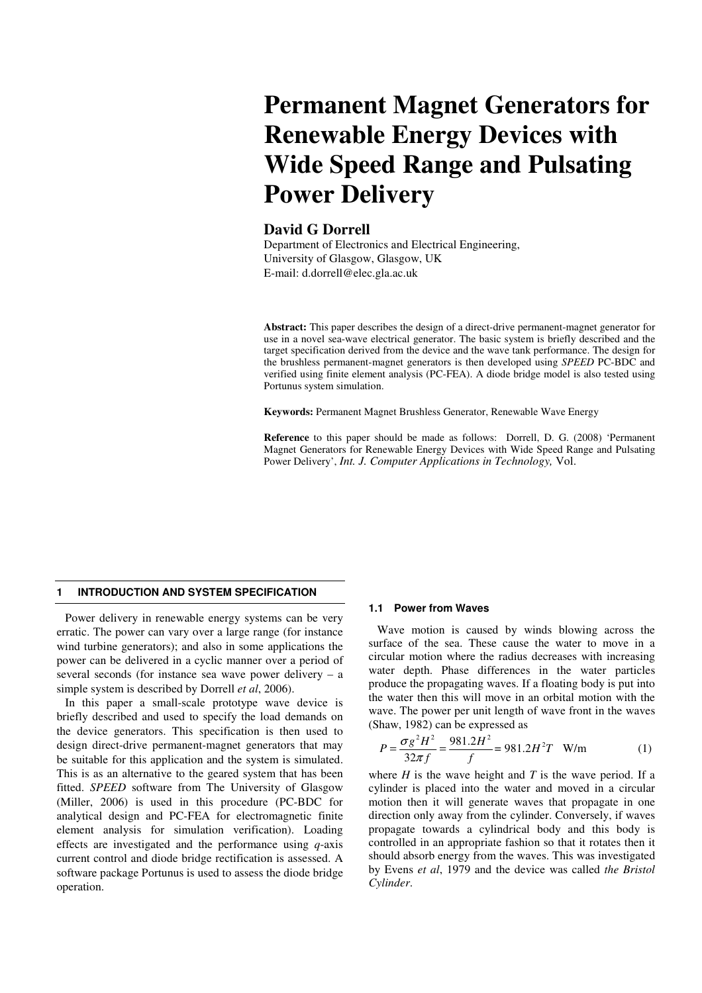# **Permanent Magnet Generators for Renewable Energy Devices with Wide Speed Range and Pulsating Power Delivery**

# **David G Dorrell**

Department of Electronics and Electrical Engineering, University of Glasgow, Glasgow, UK E-mail: d.dorrell@elec.gla.ac.uk

**Abstract:** This paper describes the design of a direct-drive permanent-magnet generator for use in a novel sea-wave electrical generator. The basic system is briefly described and the target specification derived from the device and the wave tank performance. The design for the brushless permanent-magnet generators is then developed using *SPEED* PC-BDC and verified using finite element analysis (PC-FEA). A diode bridge model is also tested using Portunus system simulation.

**Keywords:** Permanent Magnet Brushless Generator, Renewable Wave Energy

**Reference** to this paper should be made as follows: Dorrell, D. G. (2008) 'Permanent Magnet Generators for Renewable Energy Devices with Wide Speed Range and Pulsating Power Delivery', *Int. J. Computer Applications in Technology,* Vol.

### **1 INTRODUCTION AND SYSTEM SPECIFICATION**

Power delivery in renewable energy systems can be very erratic. The power can vary over a large range (for instance wind turbine generators); and also in some applications the power can be delivered in a cyclic manner over a period of several seconds (for instance sea wave power delivery – a simple system is described by Dorrell *et al*, 2006).

In this paper a small-scale prototype wave device is briefly described and used to specify the load demands on the device generators. This specification is then used to design direct-drive permanent-magnet generators that may be suitable for this application and the system is simulated. This is as an alternative to the geared system that has been fitted. *SPEED* software from The University of Glasgow (Miller, 2006) is used in this procedure (PC-BDC for analytical design and PC-FEA for electromagnetic finite element analysis for simulation verification). Loading effects are investigated and the performance using *q*-axis current control and diode bridge rectification is assessed. A software package Portunus is used to assess the diode bridge operation.

#### **1.1 Power from Waves**

Wave motion is caused by winds blowing across the surface of the sea. These cause the water to move in a circular motion where the radius decreases with increasing water depth. Phase differences in the water particles produce the propagating waves. If a floating body is put into the water then this will move in an orbital motion with the wave. The power per unit length of wave front in the waves (Shaw, 1982) can be expressed as

$$
P = \frac{\sigma g^2 H^2}{32\pi f} = \frac{981.2H^2}{f} = 981.2H^2 T \quad \text{W/m} \tag{1}
$$

where  $H$  is the wave height and  $T$  is the wave period. If a cylinder is placed into the water and moved in a circular motion then it will generate waves that propagate in one direction only away from the cylinder. Conversely, if waves propagate towards a cylindrical body and this body is controlled in an appropriate fashion so that it rotates then it should absorb energy from the waves. This was investigated by Evens *et al*, 1979 and the device was called *the Bristol Cylinder*.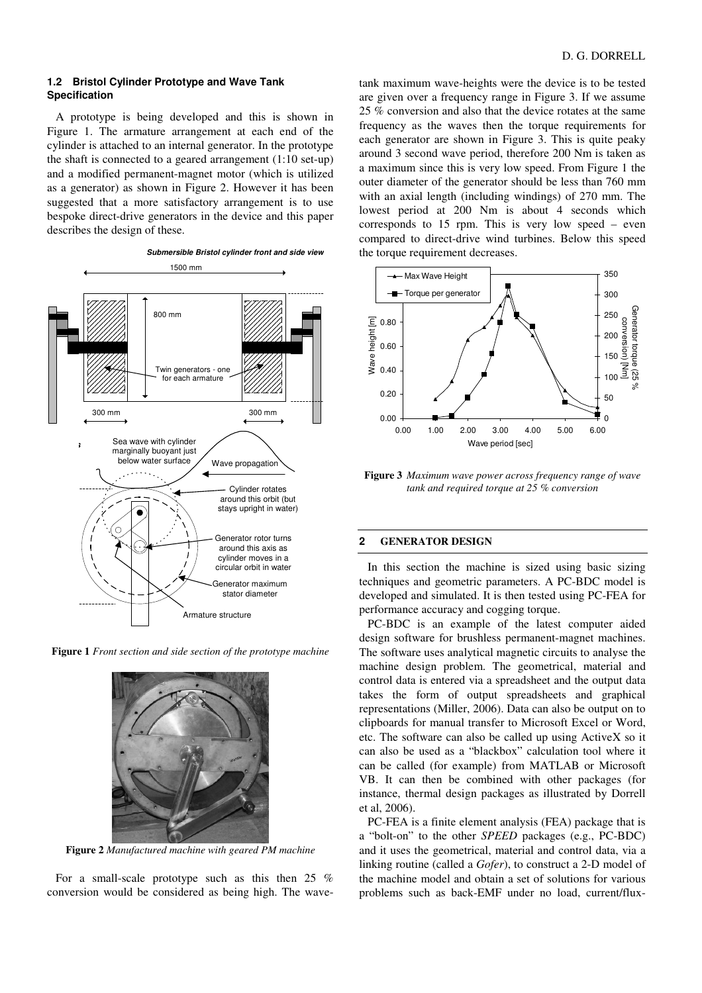# **1.2 Bristol Cylinder Prototype and Wave Tank Specification**

A prototype is being developed and this is shown in Figure 1. The armature arrangement at each end of the cylinder is attached to an internal generator. In the prototype the shaft is connected to a geared arrangement (1:10 set-up) and a modified permanent-magnet motor (which is utilized as a generator) as shown in Figure 2. However it has been suggested that a more satisfactory arrangement is to use bespoke direct-drive generators in the device and this paper describes the design of these.



**Figure 1** *Front section and side section of the prototype machine*



**Figure 2** *Manufactured machine with geared PM machine* 

For a small-scale prototype such as this then 25 % conversion would be considered as being high. The wavetank maximum wave-heights were the device is to be tested are given over a frequency range in Figure 3. If we assume 25 % conversion and also that the device rotates at the same frequency as the waves then the torque requirements for each generator are shown in Figure 3. This is quite peaky around 3 second wave period, therefore 200 Nm is taken as a maximum since this is very low speed. From Figure 1 the outer diameter of the generator should be less than 760 mm with an axial length (including windings) of 270 mm. The lowest period at 200 Nm is about 4 seconds which corresponds to 15 rpm. This is very low speed – even compared to direct-drive wind turbines. Below this speed the torque requirement decreases.



**Figure 3** *Maximum wave power across frequency range of wave tank and required torque at 25 % conversion* 

### **2 GENERATOR DESIGN**

In this section the machine is sized using basic sizing techniques and geometric parameters. A PC-BDC model is developed and simulated. It is then tested using PC-FEA for performance accuracy and cogging torque.

PC-BDC is an example of the latest computer aided design software for brushless permanent-magnet machines. The software uses analytical magnetic circuits to analyse the machine design problem. The geometrical, material and control data is entered via a spreadsheet and the output data takes the form of output spreadsheets and graphical representations (Miller, 2006). Data can also be output on to clipboards for manual transfer to Microsoft Excel or Word, etc. The software can also be called up using ActiveX so it can also be used as a "blackbox" calculation tool where it can be called (for example) from MATLAB or Microsoft VB. It can then be combined with other packages (for instance, thermal design packages as illustrated by Dorrell et al, 2006).

PC-FEA is a finite element analysis (FEA) package that is a "bolt-on" to the other *SPEED* packages (e.g., PC-BDC) and it uses the geometrical, material and control data, via a linking routine (called a *Gofer*), to construct a 2-D model of the machine model and obtain a set of solutions for various problems such as back-EMF under no load, current/flux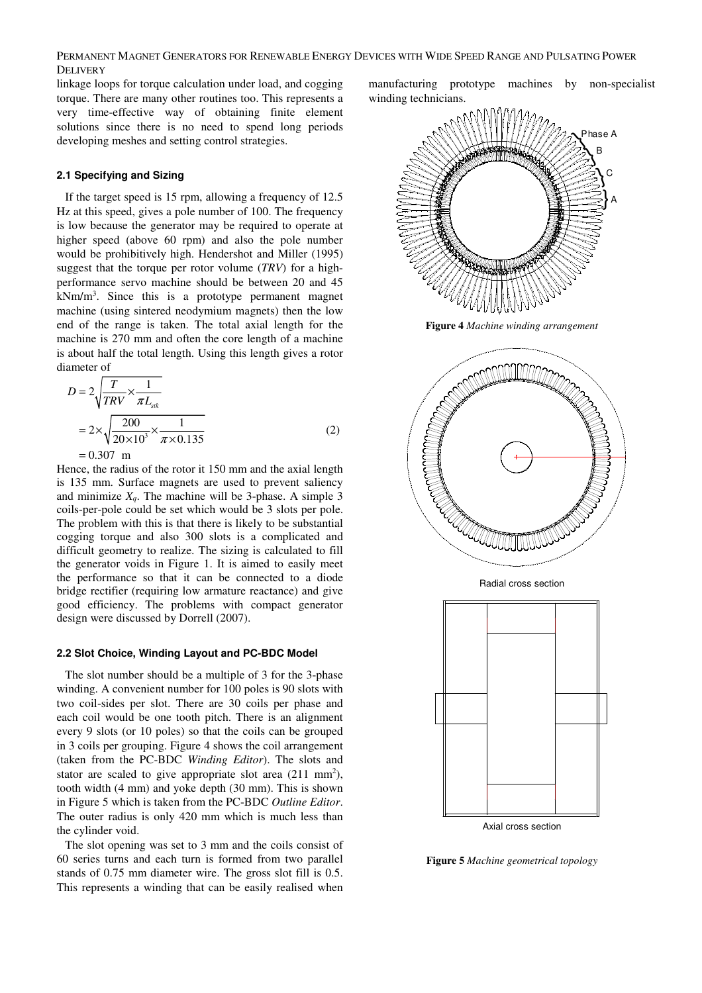PERMANENT MAGNET GENERATORS FOR RENEWABLE ENERGY DEVICES WITH WIDE SPEED RANGE AND PULSATING POWER DELIVERY

linkage loops for torque calculation under load, and cogging torque. There are many other routines too. This represents a very time-effective way of obtaining finite element solutions since there is no need to spend long periods developing meshes and setting control strategies.

# **2.1 Specifying and Sizing**

If the target speed is 15 rpm, allowing a frequency of 12.5 Hz at this speed, gives a pole number of 100. The frequency is low because the generator may be required to operate at higher speed (above 60 rpm) and also the pole number would be prohibitively high. Hendershot and Miller (1995) suggest that the torque per rotor volume (*TRV*) for a highperformance servo machine should be between 20 and 45  $kNm/m<sup>3</sup>$ . Since this is a prototype permanent magnet machine (using sintered neodymium magnets) then the low end of the range is taken. The total axial length for the machine is 270 mm and often the core length of a machine is about half the total length. Using this length gives a rotor diameter of

$$
D = 2\sqrt{\frac{T}{TRV} \times \frac{1}{\pi L_{sik}}}
$$
  
=  $2 \times \sqrt{\frac{200}{20 \times 10^3} \times \frac{1}{\pi \times 0.135}}$  (2)

 $= 0.307$  m

Hence, the radius of the rotor it 150 mm and the axial length is 135 mm. Surface magnets are used to prevent saliency and minimize  $X_q$ . The machine will be 3-phase. A simple 3 coils-per-pole could be set which would be 3 slots per pole. The problem with this is that there is likely to be substantial cogging torque and also 300 slots is a complicated and difficult geometry to realize. The sizing is calculated to fill the generator voids in Figure 1. It is aimed to easily meet the performance so that it can be connected to a diode bridge rectifier (requiring low armature reactance) and give good efficiency. The problems with compact generator design were discussed by Dorrell (2007).

### **2.2 Slot Choice, Winding Layout and PC-BDC Model**

The slot number should be a multiple of 3 for the 3-phase winding. A convenient number for 100 poles is 90 slots with two coil-sides per slot. There are 30 coils per phase and each coil would be one tooth pitch. There is an alignment every 9 slots (or 10 poles) so that the coils can be grouped in 3 coils per grouping. Figure 4 shows the coil arrangement (taken from the PC-BDC *Winding Editor*). The slots and stator are scaled to give appropriate slot area  $(211 \text{ mm}^2)$ , tooth width (4 mm) and yoke depth (30 mm). This is shown in Figure 5 which is taken from the PC-BDC *Outline Editor*. The outer radius is only 420 mm which is much less than the cylinder void.

The slot opening was set to 3 mm and the coils consist of 60 series turns and each turn is formed from two parallel stands of 0.75 mm diameter wire. The gross slot fill is 0.5. This represents a winding that can be easily realised when

manufacturing prototype machines by non-specialist winding technicians.



**Figure 4** *Machine winding arrangement*



**Figure 5** *Machine geometrical topology*

Axial cross section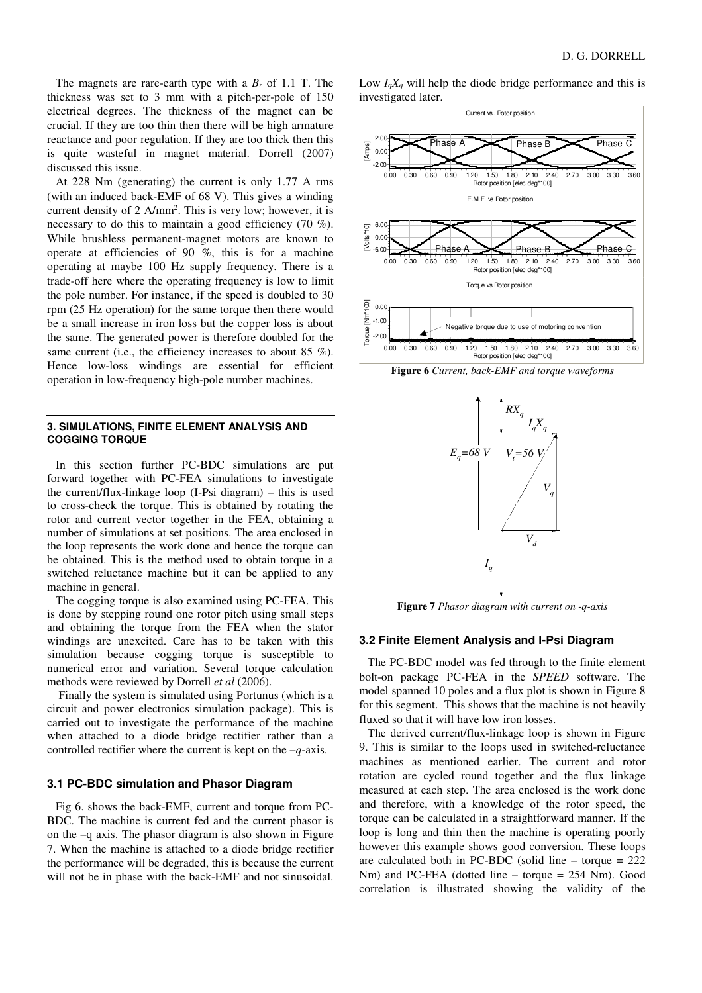The magnets are rare-earth type with a  $B_r$  of 1.1 T. The thickness was set to 3 mm with a pitch-per-pole of 150 electrical degrees. The thickness of the magnet can be crucial. If they are too thin then there will be high armature reactance and poor regulation. If they are too thick then this is quite wasteful in magnet material. Dorrell (2007) discussed this issue.

At 228 Nm (generating) the current is only 1.77 A rms (with an induced back-EMF of 68 V). This gives a winding current density of 2 A/mm<sup>2</sup>. This is very low; however, it is necessary to do this to maintain a good efficiency (70 %). While brushless permanent-magnet motors are known to operate at efficiencies of 90 %, this is for a machine operating at maybe 100 Hz supply frequency. There is a trade-off here where the operating frequency is low to limit the pole number. For instance, if the speed is doubled to 30 rpm (25 Hz operation) for the same torque then there would be a small increase in iron loss but the copper loss is about the same. The generated power is therefore doubled for the same current (i.e., the efficiency increases to about 85 %). Hence low-loss windings are essential for efficient operation in low-frequency high-pole number machines.

#### **3. SIMULATIONS, FINITE ELEMENT ANALYSIS AND COGGING TORQUE**

In this section further PC-BDC simulations are put forward together with PC-FEA simulations to investigate the current/flux-linkage loop (I-Psi diagram) – this is used to cross-check the torque. This is obtained by rotating the rotor and current vector together in the FEA, obtaining a number of simulations at set positions. The area enclosed in the loop represents the work done and hence the torque can be obtained. This is the method used to obtain torque in a switched reluctance machine but it can be applied to any machine in general.

The cogging torque is also examined using PC-FEA. This is done by stepping round one rotor pitch using small steps and obtaining the torque from the FEA when the stator windings are unexcited. Care has to be taken with this simulation because cogging torque is susceptible to numerical error and variation. Several torque calculation methods were reviewed by Dorrell *et al* (2006).

 Finally the system is simulated using Portunus (which is a circuit and power electronics simulation package). This is carried out to investigate the performance of the machine when attached to a diode bridge rectifier rather than a controlled rectifier where the current is kept on the –*q*-axis.

# **3.1 PC-BDC simulation and Phasor Diagram**

Fig 6. shows the back-EMF, current and torque from PC-BDC. The machine is current fed and the current phasor is on the –q axis. The phasor diagram is also shown in Figure 7. When the machine is attached to a diode bridge rectifier the performance will be degraded, this is because the current will not be in phase with the back-EMF and not sinusoidal.

Low  $I_qX_q$  will help the diode bridge performance and this is investigated later.









**Figure 7** *Phasor diagram with current on -q-axis* 

#### **3.2 Finite Element Analysis and I-Psi Diagram**

The PC-BDC model was fed through to the finite element bolt-on package PC-FEA in the *SPEED* software. The model spanned 10 poles and a flux plot is shown in Figure 8 for this segment. This shows that the machine is not heavily fluxed so that it will have low iron losses.

The derived current/flux-linkage loop is shown in Figure 9. This is similar to the loops used in switched-reluctance machines as mentioned earlier. The current and rotor rotation are cycled round together and the flux linkage measured at each step. The area enclosed is the work done and therefore, with a knowledge of the rotor speed, the torque can be calculated in a straightforward manner. If the loop is long and thin then the machine is operating poorly however this example shows good conversion. These loops are calculated both in PC-BDC (solid line – torque = 222 Nm) and PC-FEA (dotted line – torque = 254 Nm). Good correlation is illustrated showing the validity of the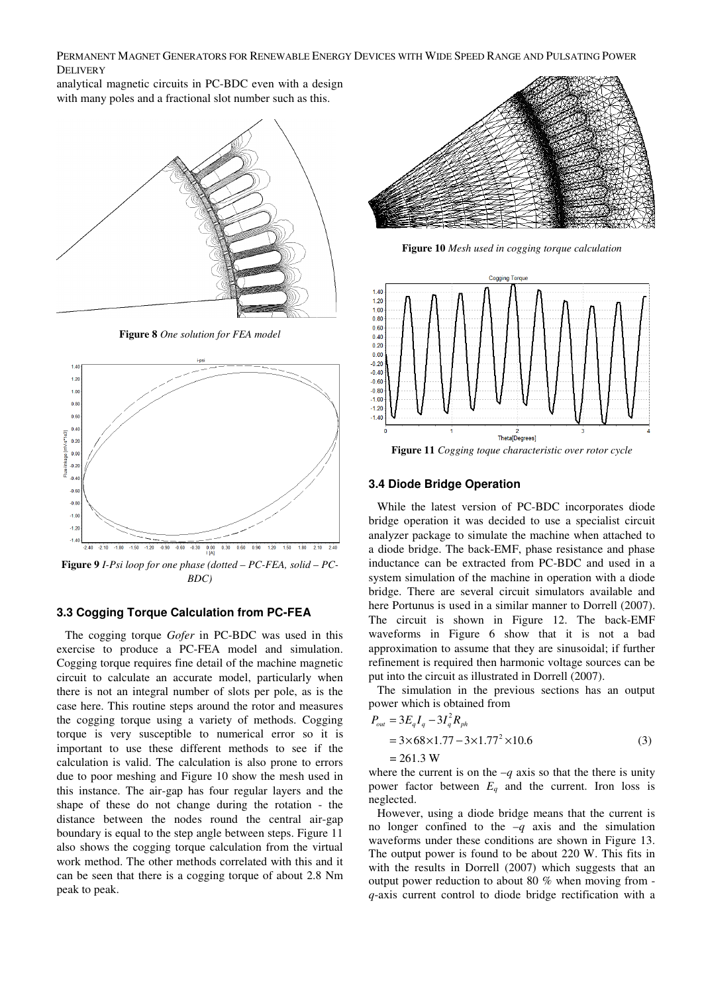PERMANENT MAGNET GENERATORS FOR RENEWABLE ENERGY DEVICES WITH WIDE SPEED RANGE AND PULSATING POWER DELIVERY

analytical magnetic circuits in PC-BDC even with a design with many poles and a fractional slot number such as this.



**Figure 8** *One solution for FEA model* 



**Figure 9** *I-Psi loop for one phase (dotted – PC-FEA, solid – PC-BDC)* 

# **3.3 Cogging Torque Calculation from PC-FEA**

The cogging torque *Gofer* in PC-BDC was used in this exercise to produce a PC-FEA model and simulation. Cogging torque requires fine detail of the machine magnetic circuit to calculate an accurate model, particularly when there is not an integral number of slots per pole, as is the case here. This routine steps around the rotor and measures the cogging torque using a variety of methods. Cogging torque is very susceptible to numerical error so it is important to use these different methods to see if the calculation is valid. The calculation is also prone to errors due to poor meshing and Figure 10 show the mesh used in this instance. The air-gap has four regular layers and the shape of these do not change during the rotation - the distance between the nodes round the central air-gap boundary is equal to the step angle between steps. Figure 11 also shows the cogging torque calculation from the virtual work method. The other methods correlated with this and it can be seen that there is a cogging torque of about 2.8 Nm peak to peak.



**Figure 10** *Mesh used in cogging torque calculation* 



**Figure 11** *Cogging toque characteristic over rotor cycle* 

## **3.4 Diode Bridge Operation**

While the latest version of PC-BDC incorporates diode bridge operation it was decided to use a specialist circuit analyzer package to simulate the machine when attached to a diode bridge. The back-EMF, phase resistance and phase inductance can be extracted from PC-BDC and used in a system simulation of the machine in operation with a diode bridge. There are several circuit simulators available and here Portunus is used in a similar manner to Dorrell (2007). The circuit is shown in Figure 12. The back-EMF waveforms in Figure 6 show that it is not a bad approximation to assume that they are sinusoidal; if further refinement is required then harmonic voltage sources can be put into the circuit as illustrated in Dorrell (2007).

The simulation in the previous sections has an output power which is obtained from

$$
P_{out} = 3E_q I_q - 3I_q^2 R_{ph}
$$
  
= 3×68×1.77-3×1.77<sup>2</sup>×10.6  
= 261.3 W (3)

where the current is on the  $-q$  axis so that the there is unity power factor between  $E_q$  and the current. Iron loss is neglected.

However, using a diode bridge means that the current is no longer confined to the  $-q$  axis and the simulation waveforms under these conditions are shown in Figure 13. The output power is found to be about 220 W. This fits in with the results in Dorrell (2007) which suggests that an output power reduction to about 80 % when moving from *q*-axis current control to diode bridge rectification with a